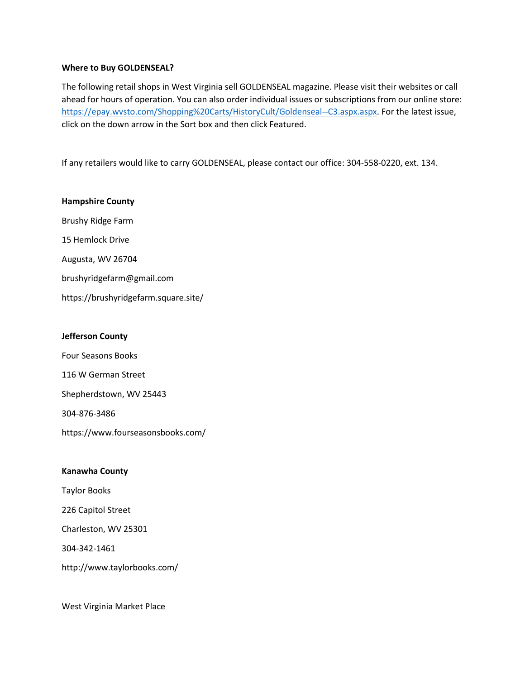#### **Where to Buy GOLDENSEAL?**

The following retail shops in West Virginia sell GOLDENSEAL magazine. Please visit their websites or call ahead for hours of operation. You can also order individual issues or subscriptions from our online store: [https://epay.wvsto.com/Shopping%20Carts/HistoryCult/Goldenseal--C3.aspx.aspx.](https://epay.wvsto.com/Shopping%20Carts/HistoryCult/Goldenseal--C3.aspx.aspx) For the latest issue, click on the down arrow in the Sort box and then click Featured.

If any retailers would like to carry GOLDENSEAL, please contact our office: 304-558-0220, ext. 134.

#### **Hampshire County**

Brushy Ridge Farm 15 Hemlock Drive

Augusta, WV 26704

brushyridgefarm@gmail.com

https://brushyridgefarm.square.site/

# **Jefferson County**

Four Seasons Books 116 W German Street Shepherdstown, WV 25443 304-876-3486 https://www.fourseasonsbooks.com/

# **Kanawha County**

Taylor Books

226 Capitol Street

Charleston, WV 25301

304-342-1461

http://www.taylorbooks.com/

West Virginia Market Place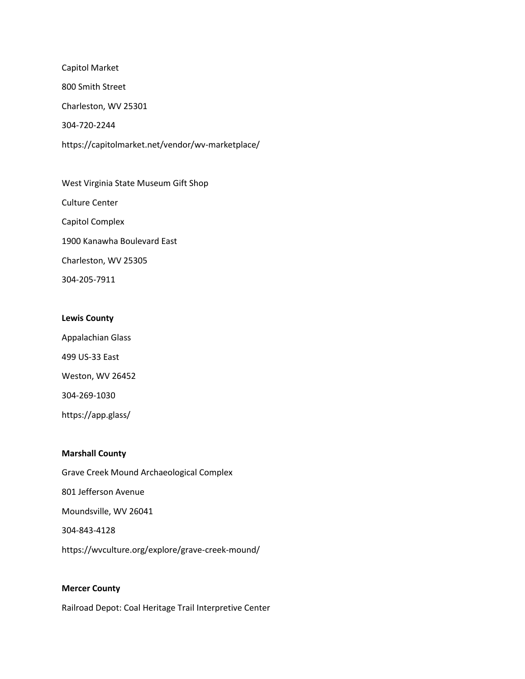Capitol Market 800 Smith Street Charleston, WV 25301 304-720-2244 https://capitolmarket.net/vendor/wv-marketplace/

West Virginia State Museum Gift Shop Culture Center Capitol Complex 1900 Kanawha Boulevard East Charleston, WV 25305 304-205-7911

# **Lewis County**

Appalachian Glass 499 US-33 East Weston, WV 26452 304-269-1030 https://app.glass/

#### **Marshall County**

Grave Creek Mound Archaeological Complex 801 Jefferson Avenue Moundsville, WV 26041 304-843-4128 https://wvculture.org/explore/grave-creek-mound/

# **Mercer County**

Railroad Depot: Coal Heritage Trail Interpretive Center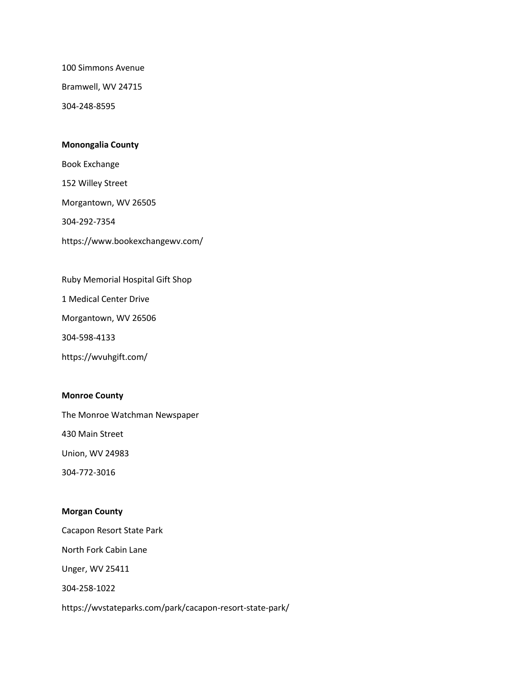100 Simmons Avenue

Bramwell, WV 24715

304-248-8595

#### **Monongalia County**

Book Exchange

152 Willey Street

Morgantown, WV 26505

304-292-7354

https://www.bookexchangewv.com/

Ruby Memorial Hospital Gift Shop

1 Medical Center Drive

Morgantown, WV 26506

304-598-4133

https://wvuhgift.com/

# **Monroe County**

The Monroe Watchman Newspaper

430 Main Street

Union, WV 24983

304-772-3016

# **Morgan County**

Cacapon Resort State Park

North Fork Cabin Lane

Unger, WV 25411

304-258-1022

https://wvstateparks.com/park/cacapon-resort-state-park/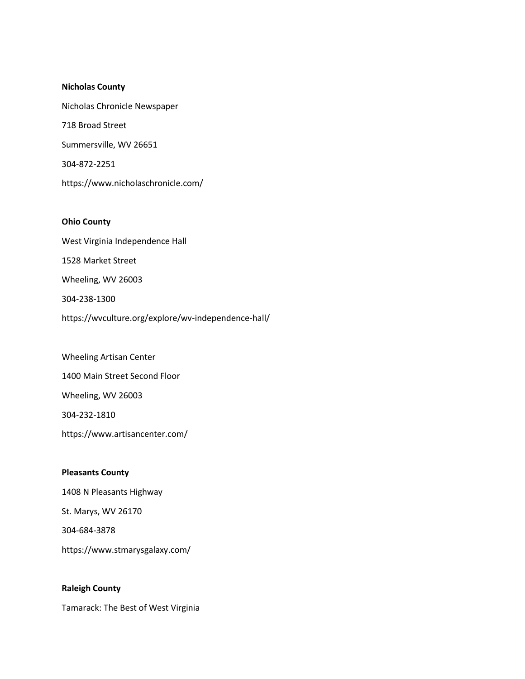#### **Nicholas County**

Nicholas Chronicle Newspaper 718 Broad Street Summersville, WV 26651 304-872-2251 https://www.nicholaschronicle.com/

#### **Ohio County**

West Virginia Independence Hall 1528 Market Street Wheeling, WV 26003 304-238-1300 https://wvculture.org/explore/wv-independence-hall/

Wheeling Artisan Center 1400 Main Street Second Floor Wheeling, WV 26003 304-232-1810 https://www.artisancenter.com/

# **Pleasants County** 1408 N Pleasants Highway St. Marys, WV 26170 304-684-3878 https://www.stmarysgalaxy.com/

#### **Raleigh County**

Tamarack: The Best of West Virginia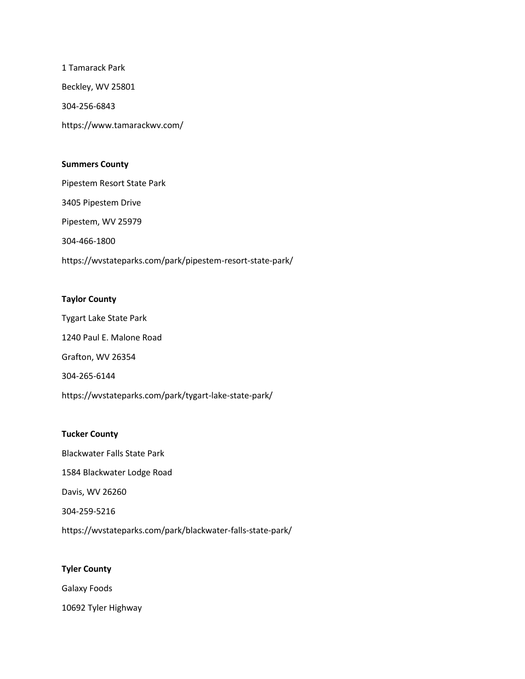1 Tamarack Park Beckley, WV 25801 304-256-6843 https://www.tamarackwv.com/

### **Summers County**

Pipestem Resort State Park 3405 Pipestem Drive Pipestem, WV 25979 304-466-1800 https://wvstateparks.com/park/pipestem-resort-state-park/

# **Taylor County**

Tygart Lake State Park 1240 Paul E. Malone Road Grafton, WV 26354 304-265-6144 https://wvstateparks.com/park/tygart-lake-state-park/

# **Tucker County**

Blackwater Falls State Park 1584 Blackwater Lodge Road Davis, WV 26260 304-259-5216 https://wvstateparks.com/park/blackwater-falls-state-park/

# **Tyler County**

Galaxy Foods

10692 Tyler Highway